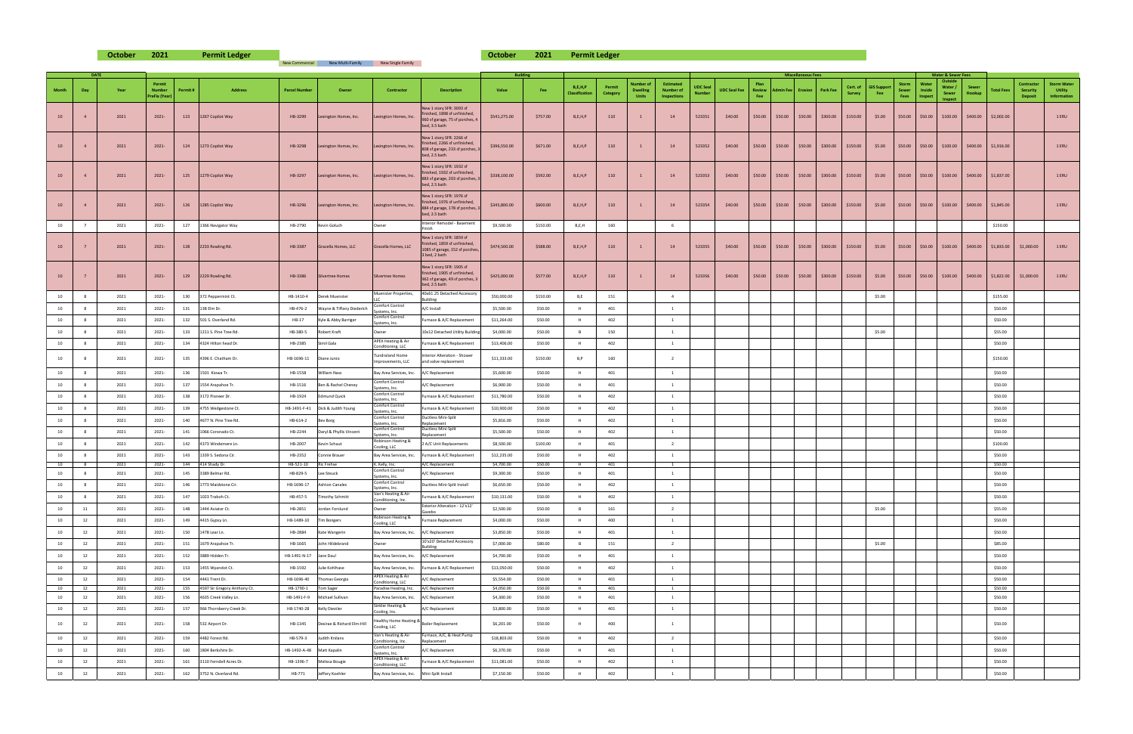| <b>New Commercial</b> | New Multi-Family | New Single Family |
|-----------------------|------------------|-------------------|

**October 2021 October 2021 Permit Ledger Permit Ledger**

|       | <b>DATE</b> |              |                                                |            |                                                           |                           |                                           |                                                                  |                                                                                                                | <b>Building</b>           |                    |                                     |                           |                                 |                                                     |                                  |                     |             |                            | <b>Miscellaneous Fees</b> |                                       |                   |                           |                               |                           | <b>Water &amp; Sewer Fees</b>                 |                 |                                                                                              |                                                                                                                                    |                                                     |
|-------|-------------|--------------|------------------------------------------------|------------|-----------------------------------------------------------|---------------------------|-------------------------------------------|------------------------------------------------------------------|----------------------------------------------------------------------------------------------------------------|---------------------------|--------------------|-------------------------------------|---------------------------|---------------------------------|-----------------------------------------------------|----------------------------------|---------------------|-------------|----------------------------|---------------------------|---------------------------------------|-------------------|---------------------------|-------------------------------|---------------------------|-----------------------------------------------|-----------------|----------------------------------------------------------------------------------------------|------------------------------------------------------------------------------------------------------------------------------------|-----------------------------------------------------|
| Month | Day         | Year         | Permit<br><b>Number</b><br><b>PreFix (Year</b> | Permit#    | <b>Address</b>                                            | <b>Parcel Number</b>      | Owner                                     | <b>Contractor</b>                                                | <b>Description</b>                                                                                             | Value                     | Fee                | B, E, H, P<br><b>Classification</b> | Permit<br><b>Category</b> | <b>Dwelling</b><br><b>Units</b> | Estimated<br><b>Number of</b><br><b>Inspections</b> | <b>UDC Seal</b><br><b>Number</b> | UDC Seal Fee Review | Plan<br>Fee | Admin Fee Erosion Park Fee |                           |                                       | Cert. o<br>Survey | <b>GIS Support</b><br>Fee | Storm<br><b>Sewer</b><br>Fees | Wate<br>Inside<br>Inspect | Outside<br>Water /<br>Sewer<br><b>Inspect</b> | Sewer<br>Hookup | <b>Total Fees</b>                                                                            | <b>Contractor</b><br><b>Security</b><br><b>Deposit</b>                                                                             | <b>Storm Water</b><br><b>Utility</b><br>Information |
|       |             | 2021         | $2021 -$                                       | 123        | 1267 Copilot Way                                          | HB-3299                   | Lexington Homes, Inc.                     | Lexington Homes, In                                              | New 1 story SFR: 3093 sf<br>finished, 1898 sf unfinished,<br>960 sf garage, 75 sf porches, 4<br>bed, 3.5 bath  | \$541,275.00              | \$757.00           | B, E, H, P                          | 110                       |                                 | 14                                                  | 523351                           | \$40.00             | \$50.00     |                            |                           | $$50.00$ $$50.00$ $$300.00$ $$150.00$ |                   | \$5.00                    |                               |                           |                                               |                 | $$50.00$ $$50.00$ $$100.00$ $$400.00$ $$2,002.00$                                            |                                                                                                                                    | 1 ERU                                               |
|       |             | 2021         | $2021 -$                                       | 124        | 1273 Copilot Way                                          | HB-3298                   | Lexington Homes, Inc.                     | Lexington Homes, In                                              | New 1 story SFR: 2266 sf<br>finished, 2266 sf unfinished,<br>808 sf garage, 233 sf porches, 3<br>bed, 2.5 bath | \$396,550.00              | \$671.00           | B, E, H, P                          | 110                       |                                 | 14                                                  | 523352                           | \$40.00             | \$50.00     |                            |                           | $$50.00$ $$50.00$ $$300.00$ $$150.00$ |                   | \$5.00                    |                               |                           |                                               |                 | $\frac{1}{2}$ \$50.00 $\frac{1}{2}$ \$100.00 $\frac{1}{2}$ \$400.00 $\frac{1}{2}$ \$1,916.00 |                                                                                                                                    | 1 ERU                                               |
|       |             | 2021         | $2021 -$                                       | 125        | 1279 Copilot Way                                          | HB-3297                   | Lexington Homes, Inc.                     | Lexington Homes, Inc                                             | New 1 story SFR: 1932 sf<br>finished, 1932 sf unfinished,<br>883 sf garage, 203 sf porches, 3<br>bed, 2.5 bath | \$338,100.00              | \$592.00           | B, E, H, P                          | 110                       |                                 | 14                                                  | 523353                           | \$40.00             | \$50.00     |                            |                           | $$50.00$ $$50.00$ $$300.00$ $$150.00$ |                   | \$5.00                    |                               |                           | $$50.00$ \$50.00 \$100.00                     |                 | $$400.00$ $$1,837.00$                                                                        |                                                                                                                                    | 1 ERU                                               |
|       |             | 2021         | $2021 -$                                       | 126        | 1285 Copilot Way                                          | HB-3296                   | Lexington Homes, Inc.                     | Lexington Homes, Inc                                             | New 1 story SFR: 1976 sf<br>finished, 1976 sf unfinished,<br>884 sf garage, 178 sf porches,<br>bed, 2.5 bath   | \$345,800.00              | \$600.00           | B, E, H, P                          | 110                       |                                 | 14                                                  | 523354                           | \$40.00             | \$50.00     | \$50.00                    |                           | $$50.00$ \$300.00 \$150.00            |                   | \$5.00                    |                               |                           | $$50.00$ \$50.00 \$100.00                     |                 | $$400.00$ $$1,845.00$                                                                        |                                                                                                                                    | 1 ERU                                               |
|       |             |              |                                                |            |                                                           |                           |                                           |                                                                  | Interior Remodel - Basement                                                                                    |                           |                    |                                     |                           |                                 |                                                     |                                  |                     |             |                            |                           |                                       |                   |                           |                               |                           |                                               |                 |                                                                                              |                                                                                                                                    |                                                     |
|       |             | 2021         | 2021-                                          | 127        | 1366 Navigator Way                                        | HB-2790                   | Kevin Goluch                              | Owner                                                            |                                                                                                                | \$9,500.00                | \$150.00           | B,E,H                               | 160                       |                                 |                                                     |                                  |                     |             |                            |                           |                                       |                   |                           |                               |                           |                                               |                 | \$150.00                                                                                     |                                                                                                                                    |                                                     |
|       |             | 2021         | $2021 -$                                       | 128        | 2233 Rowling Rd.                                          | HB-3387                   | Gracella Homes, LLC                       | Gracella Homes, LLC                                              | New 1 story SFR: 1859 sf<br>finished, 1859 sf unfinished,<br>1085 sf garage, 152 sf porches,<br>3 bed, 2 bath  | \$474,500.00              | \$588.00           | B, E, H, P                          | 110                       |                                 | 14                                                  | 523355                           | \$40.00             | \$50.00     |                            |                           | $$50.00$ $$50.00$ $$300.00$ $$150.00$ |                   | \$5.00                    |                               |                           |                                               |                 | $\frac{1}{2}$ \$50.00 \$50.00 \$100.00 \$400.00 \$1,833.00 \$1,000.00                        |                                                                                                                                    | 1 ERU                                               |
|       |             | 2021         | $2021 -$                                       |            | 129 2229 Rowling Rd.                                      | HB-3386                   | Silvertree Homes                          | Silvertree Homes                                                 | New 1 story SFR: 1905 sf<br>finished, 1905 sf unfinished,<br>962 sf garage, 49 sf porches, 3<br>bed, 2.5 bath  | \$425,000.00              | \$577.00           | B, E, H, P                          | 110                       |                                 | 14                                                  | 523356                           | \$40.00             |             |                            |                           |                                       |                   |                           |                               |                           |                                               |                 |                                                                                              | │ \$50.00 │ \$50.00 │ \$50.00 │ \$300.00 │ \$150.00 │ \$5.00 │ \$50.00 │ \$50.00 │ \$100.00 │ \$400.00 │ \$1,822.00 │ \$1,000.00 │ | 1 ERU                                               |
|       |             | 2021         | 2021-                                          | 130        | 372 Peppermint Ct.                                        | HB-1410-4                 | Derek Muenster                            | <b>Muenster Properties</b>                                       | 40x61.25 Detached Accessory<br>Building                                                                        | \$50,000.00               | \$150.00           | B,E                                 | 151                       |                                 |                                                     |                                  |                     |             |                            |                           |                                       |                   | \$5.00                    |                               |                           |                                               |                 | \$155.00                                                                                     |                                                                                                                                    |                                                     |
|       |             | 2021         | 2021-                                          | 131        | 138 Elm Dr.                                               | HB-476-2                  | Wayne & Tiffany Diederich                 | Comfort Control                                                  | A/C Install                                                                                                    | \$5,500.00                | \$50.00            |                                     | 401                       |                                 |                                                     |                                  |                     |             |                            |                           |                                       |                   |                           |                               |                           |                                               |                 | \$50.00                                                                                      |                                                                                                                                    |                                                     |
|       |             | 2021         | 2021-                                          | 132        | 501 S. Overland Rd.                                       | $HB-17$                   | Kyle & Abby Barriger                      | Systems, Inc.<br>Comfort Control                                 | Furnace & A/C Replacement                                                                                      | \$11,264.00               | \$50.00            |                                     | 402                       |                                 |                                                     |                                  |                     |             |                            |                           |                                       |                   |                           |                               |                           |                                               |                 | \$50.00                                                                                      |                                                                                                                                    |                                                     |
|       |             | 2021         | 2021-                                          | 133        | 1211 S. Pine Tree Rd.                                     | HB-380-5                  | <b>Robert Kraft</b>                       | Systems, Inc.<br>Owner                                           | 10x12 Detached Utility Buildir                                                                                 | \$4,000.00                | \$50.00            |                                     | 150                       |                                 |                                                     |                                  |                     |             |                            |                           |                                       |                   | \$5.00                    |                               |                           |                                               |                 | \$55.00                                                                                      |                                                                                                                                    |                                                     |
|       |             | 2021         | 2021-                                          | 134        | 4324 Hilton head Dr.                                      | HB-2385 Simil Gala        |                                           | <b>APEX Heating &amp; Air</b>                                    | Furnace & A/C Replacement                                                                                      | \$13,406.00               | \$50.00            |                                     | 402                       |                                 |                                                     |                                  |                     |             |                            |                           |                                       |                   |                           |                               |                           |                                               |                 | \$50.00                                                                                      |                                                                                                                                    |                                                     |
|       |             | 2021         | 2021-                                          | 135        | 4396 E. Chatham Dr.                                       | HB-1696-11   Diane Junio  |                                           | Conditioning, LLC<br><b>Tundraland Home</b><br>Improvements, LLC | Interior Alteration - Shower<br>and valve replacement                                                          | \$11,333.00               | \$150.00           | B.P                                 | 160                       |                                 |                                                     |                                  |                     |             |                            |                           |                                       |                   |                           |                               |                           |                                               |                 | \$150.00                                                                                     |                                                                                                                                    |                                                     |
|       |             | 2021         | 2021-                                          | 136        | 1501 Kiowa Tr.                                            | HB-1558                   | <b>William Nass</b>                       | Bay Area Services, Inc.                                          | A/C Replacement                                                                                                | \$5,600.00                | \$50.00            |                                     | 401                       |                                 |                                                     |                                  |                     |             |                            |                           |                                       |                   |                           |                               |                           |                                               |                 | \$50.00                                                                                      |                                                                                                                                    |                                                     |
|       |             | 2021         | 2021-                                          | 137        | 1554 Arapahoe Tr.                                         | HB-1516                   | Ben & Rachel Cheney                       | <b>Comfort Control</b>                                           | A/C Replacement                                                                                                | \$6,900.00                | \$50.00            |                                     | 401                       |                                 |                                                     |                                  |                     |             |                            |                           |                                       |                   |                           |                               |                           |                                               |                 | \$50.00                                                                                      |                                                                                                                                    |                                                     |
|       |             | 2021         | 2021-                                          | 138        | 3172 Pioneer Dr.                                          | HB-1924                   | <b>Edmund Quick</b>                       | Systems, Inc.<br><b>Comfort Control</b>                          | Furnace & A/C Replacement                                                                                      | \$11,780.00               | \$50.00            |                                     | 402                       |                                 |                                                     |                                  |                     |             |                            |                           |                                       |                   |                           |                               |                           |                                               |                 | \$50.00                                                                                      |                                                                                                                                    |                                                     |
|       |             | 2021         | 2021-                                          | 139        | 4755 Wedgestone Ct.                                       |                           | HB-1491-F-41   Dick & Judith Young        | Systems, Inc.<br><b>Comfort Control</b>                          | Furnace & A/C Replacement                                                                                      | \$10,900.00               | \$50.00            |                                     | 402                       |                                 |                                                     |                                  |                     |             |                            |                           |                                       |                   |                           |                               |                           |                                               |                 | \$50.00                                                                                      |                                                                                                                                    |                                                     |
|       |             |              |                                                |            |                                                           |                           |                                           | Systems, Inc.<br><b>Comfort Control</b>                          | Ductless Mini-Split                                                                                            |                           |                    |                                     |                           |                                 |                                                     |                                  |                     |             |                            |                           |                                       |                   |                           |                               |                           |                                               |                 |                                                                                              |                                                                                                                                    |                                                     |
|       |             | 2021         | 2021-                                          | 140        | 4677 N. Pine Tree Rd.                                     | HB-614-2 Bev Borg         |                                           | Systems, Inc.<br><b>Comfort Control</b>                          | Replacement<br>Ductless Mini-Split                                                                             | \$5,816.00                | \$50.00            |                                     | 402                       |                                 |                                                     |                                  |                     |             |                            |                           |                                       |                   |                           |                               |                           |                                               |                 | \$50.00                                                                                      |                                                                                                                                    |                                                     |
| 10    |             | 2021         | 2021-                                          | 141        | 1066 Coronado Ct.                                         | HB-2244                   | Daryl & Phyllis Vincent                   | Systems, Inc.<br>Robinson Heating &                              | Replacement                                                                                                    | \$5,500.00                | \$50.00            |                                     | 402                       |                                 | $\mathcal{L}$                                       |                                  |                     |             |                            |                           |                                       |                   |                           |                               |                           |                                               |                 | \$50.00                                                                                      |                                                                                                                                    |                                                     |
|       |             | 2021         | 2021-                                          |            | 142 4373 Windemere Ln.                                    | HB-2007 Kevin Schaut      |                                           | Cooling, LLC                                                     | 2 A/C Unit Replacements                                                                                        | \$8,500.00                | \$100.00           |                                     | 401                       |                                 |                                                     |                                  |                     |             |                            |                           |                                       |                   |                           |                               |                           |                                               |                 | \$100.00                                                                                     |                                                                                                                                    |                                                     |
|       |             | 2021<br>2021 | 2021-<br>2021-                                 | 143<br>144 | 1339 S. Sedona Cir.<br>414 Shady Dr.                      | HB-2352<br>HB-521-10      | <b>Connie Brauer</b><br><b>Ric Frehse</b> | Bay Area Services, Inc.<br>K. Kelly, Inc.                        | Furnace & A/C Replacement<br>A/C Replacement                                                                   | \$12,235.00<br>\$4,700.00 | \$50.00<br>\$50.00 |                                     | 402<br>401                |                                 |                                                     |                                  |                     |             |                            |                           |                                       |                   |                           |                               |                           |                                               |                 | \$50.00<br>\$50.00                                                                           |                                                                                                                                    |                                                     |
|       |             | 2021         | 2021-                                          | 145        | 3389 Belmar Rd.                                           | HB-829-5 Lee Steuck       |                                           | <b>Comfort Control</b>                                           | A/C Replacement                                                                                                | \$9,300.00                | \$50.00            |                                     | 401                       |                                 |                                                     |                                  |                     |             |                            |                           |                                       |                   |                           |                               |                           |                                               |                 | \$50.00                                                                                      |                                                                                                                                    |                                                     |
|       |             | 2021         | 2021-                                          | 146        | 1773 Maidstone Cir.                                       | HB-1696-17                | <b>Ashton Canales</b>                     | Systems, Inc.<br><b>Comfort Control</b>                          | Ductless Mini-Split Install                                                                                    | \$6,650.00                | \$50.00            |                                     | 402                       |                                 |                                                     |                                  |                     |             |                            |                           |                                       |                   |                           |                               |                           |                                               |                 | \$50.00                                                                                      |                                                                                                                                    |                                                     |
|       |             | 2021         | 2021-                                          | 147        | 1023 Traboh Ct.                                           | HB-457-5                  | <b>Timothy Schmitt</b>                    | Systems, Inc.<br>Van's Heating & Air                             | Furnace & A/C Replacement                                                                                      | \$10,131.00               | \$50.00            |                                     | 402                       |                                 |                                                     |                                  |                     |             |                            |                           |                                       |                   |                           |                               |                           |                                               |                 | \$50.00                                                                                      |                                                                                                                                    |                                                     |
|       |             | 2021         | $2021 -$                                       | 148        | 1444 Aviator Ct.                                          |                           | HB-2851 Jordan Forslund                   | Conditioning, Inc.<br>Owner                                      | Exterior Alteration - 12'x12'                                                                                  | \$2,500.00                | \$50.00            |                                     | 161                       |                                 |                                                     |                                  |                     |             |                            |                           |                                       |                   | \$5.00                    |                               |                           |                                               |                 | \$55.00                                                                                      |                                                                                                                                    |                                                     |
|       |             | 2021         | 2021-                                          | 149        | 4415 Gypsy Ln.                                            | HB-1489-10                | <b>Tim Bongers</b>                        | Robinson Heating &                                               | Furnace Replacement                                                                                            | \$4,000.00                | \$50.00            |                                     | 400                       |                                 |                                                     |                                  |                     |             |                            |                           |                                       |                   |                           |                               |                           |                                               |                 | \$50.00                                                                                      |                                                                                                                                    |                                                     |
|       |             |              |                                                |            |                                                           |                           |                                           | Cooling, LLC                                                     |                                                                                                                |                           |                    |                                     |                           |                                 |                                                     |                                  |                     |             |                            |                           |                                       |                   |                           |                               |                           |                                               |                 |                                                                                              |                                                                                                                                    |                                                     |
|       |             | 2021         | 2021-                                          | 150        | 1478 Lear Ln.                                             | HB-2884                   | Kate Wangerin                             | Bay Area Services, Inc.                                          | A/C Replacement<br>10'x20' Detached Accessory                                                                  | \$3,850.00                | \$50.00            |                                     | 401                       |                                 |                                                     |                                  |                     |             |                            |                           |                                       |                   |                           |                               |                           |                                               |                 | \$50.00                                                                                      |                                                                                                                                    |                                                     |
|       |             | 2021         | 2021-                                          | 151        | 1679 Arapahoe Tr.                                         |                           | HB-1665 John Hildebrand                   | Owner                                                            | Building                                                                                                       | \$7,000.00                | \$80.00            |                                     | 151                       |                                 |                                                     |                                  |                     |             |                            |                           |                                       |                   | \$5.00                    |                               |                           |                                               |                 | \$85.00                                                                                      |                                                                                                                                    |                                                     |
|       |             | 2021         | 2021-                                          | 152        | 3889 Hidden Tr.                                           | HB-1491-N-17 Jane Daul    |                                           | Bay Area Services, Inc. A/C Replacement                          |                                                                                                                | \$4,700.00                | \$50.00            |                                     | 401                       |                                 |                                                     |                                  |                     |             |                            |                           |                                       |                   |                           |                               |                           |                                               |                 | \$50.00                                                                                      |                                                                                                                                    |                                                     |
|       |             | 2021         | 2021-                                          | 153        | 1455 Wyandot Ct.                                          |                           | HB-1592 Julie Kohlhase                    |                                                                  | Bay Area Services, Inc. Furnace & A/C Replacement                                                              | \$13,050.00               | \$50.00            |                                     | 402                       |                                 |                                                     |                                  |                     |             |                            |                           |                                       |                   |                           |                               |                           |                                               |                 | \$50.00                                                                                      |                                                                                                                                    |                                                     |
|       |             | 2021         | 2021-                                          | 154        | 4441 Trent Dr.                                            |                           | HB-1696-40   Thomas Georgia               | <b>APEX Heating &amp; Air</b><br>Conditioning, LLC               | A/C Replacement                                                                                                | \$5,554.00                | \$50.00            |                                     | 401                       |                                 |                                                     |                                  |                     |             |                            |                           |                                       |                   |                           |                               |                           |                                               |                 | \$50.00                                                                                      |                                                                                                                                    |                                                     |
|       |             | 2021<br>2021 | 2021-<br>2021-                                 | 155        | 4597 Sir Gregory Anthony Ct.<br>156 4635 Creek Valley Ln. | HB-1790-1                 | Tom Sager<br>HB-1491-F-9 Michael Sullivan | Paradise Heating, Inc.<br>Bay Area Services, Inc.                | A/C Replacement<br>A/C Replacement                                                                             | \$4,050.00<br>\$4,300.00  | \$50.00<br>\$50.00 |                                     | 401<br>401                |                                 |                                                     |                                  |                     |             |                            |                           |                                       |                   |                           |                               |                           |                                               |                 | \$50.00<br>\$50.00                                                                           |                                                                                                                                    |                                                     |
|       |             | 2021         | $2021 -$                                       |            | 157 966 Thornberry Creek Dr.                              | HB-1740-28 Kelly Diestler |                                           | Sinkler Heating &                                                | A/C Replacement                                                                                                | \$3,800.00                | \$50.00            |                                     | 401                       |                                 |                                                     |                                  |                     |             |                            |                           |                                       |                   |                           |                               |                           |                                               |                 | \$50.00                                                                                      |                                                                                                                                    |                                                     |
|       |             |              |                                                |            |                                                           |                           |                                           | Cooling, Inc.                                                    |                                                                                                                |                           |                    |                                     |                           |                                 |                                                     |                                  |                     |             |                            |                           |                                       |                   |                           |                               |                           |                                               |                 |                                                                                              |                                                                                                                                    |                                                     |
|       |             | 2021         | 2021-                                          |            | 158 532 Airport Dr.                                       |                           | HB-1345 Desirae & Richard Elm-Hill        | Healthy Home Heating $\&$ Boiler Replacement<br>Cooling, LLC     |                                                                                                                | \$6,201.00                | \$50.00            |                                     | 400                       |                                 |                                                     |                                  |                     |             |                            |                           |                                       |                   |                           |                               |                           |                                               |                 | \$50.00                                                                                      |                                                                                                                                    |                                                     |
| 10    | 12          | 2021         | 2021-                                          | 159        | 4482 Forest Rd.                                           | HB-579-3                  | <b>Judith Knilans</b>                     | Van's Heating & Air<br>Conditioning, Inc.                        | Furnace, A/C, & Heat Pump<br>Replacement                                                                       | \$18,803.00               | \$50.00            |                                     | 402                       |                                 |                                                     |                                  |                     |             |                            |                           |                                       |                   |                           |                               |                           |                                               |                 | \$50.00                                                                                      |                                                                                                                                    |                                                     |
| 10    | 12          | 2021         | 2021-                                          | 160        | 1804 Berkshire Dr.                                        | HB-1492-A-48 Matt Kapalin |                                           | <b>Comfort Control</b><br>Systems, Inc.                          | A/C Replacement                                                                                                | \$6,370.00                | \$50.00            |                                     | 401                       |                                 |                                                     |                                  |                     |             |                            |                           |                                       |                   |                           |                               |                           |                                               |                 | \$50.00                                                                                      |                                                                                                                                    |                                                     |
| 10    | 12          | 2021         | 2021-                                          | 161        | 3110 Ferndell Acres Dr.                                   | HB-1396-7                 | Melissa Bougie                            | <b>APEX Heating &amp; Air</b><br>Conditioning, LLC               | Furnace & A/C Replacement                                                                                      | \$11,081.00               | \$50.00            |                                     | 402                       |                                 |                                                     |                                  |                     |             |                            |                           |                                       |                   |                           |                               |                           |                                               |                 | \$50.00                                                                                      |                                                                                                                                    |                                                     |
|       | 12          | 2021         | 2021-                                          | 162        | 3752 N. Overland Rd.                                      | HB-771                    | Jeffery Koehler                           | Bay Area Services, Inc.                                          | Mini-Split Install                                                                                             | \$7,150.00                | \$50.00            |                                     | 402                       |                                 |                                                     |                                  |                     |             |                            |                           |                                       |                   |                           |                               |                           |                                               |                 | \$50.00                                                                                      |                                                                                                                                    |                                                     |

|  | <b>New Single Family</b> |
|--|--------------------------|